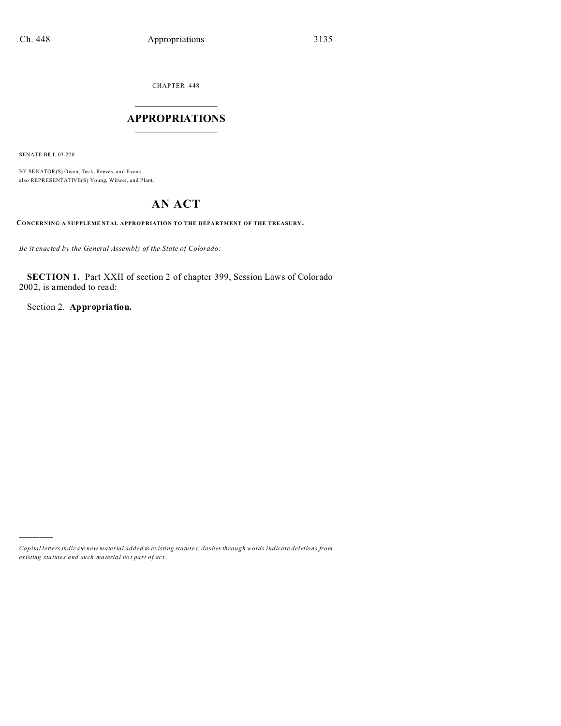CHAPTER 448  $\overline{\phantom{a}}$  , where  $\overline{\phantom{a}}$ 

## **APPROPRIATIONS**  $\_$   $\_$   $\_$   $\_$   $\_$   $\_$   $\_$   $\_$

SENATE BILL 03-220

)))))

BY SENATOR(S) Owen, Teck, Reeves, and Evans; also REPRESENTATIVE(S) Young, Witwer, and Plant.

# **AN ACT**

**CONCERNING A SUPPLEME NTAL APPROP RIATION TO THE DEPARTMENT OF THE TREASURY.**

*Be it enacted by the General Assembly of the State of Colorado:*

**SECTION 1.** Part XXII of section 2 of chapter 399, Session Laws of Colorado 2002, is amended to read:

Section 2. **Appropriation.**

*Capital letters indicate new material added to existing statutes; dashes through words indicate deletions from ex isting statute s and such ma teria l no t pa rt of ac t.*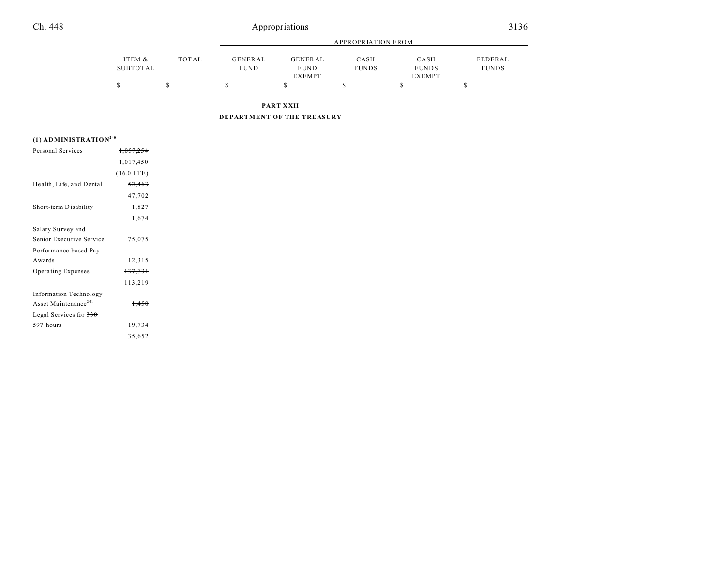|          |       | <b>APPROPRIATION FROM</b> |               |              |               |              |
|----------|-------|---------------------------|---------------|--------------|---------------|--------------|
| ITEM &   | TOTAL | GENERAL                   | GENERAL       | CASH         | CASH          | FEDERAL      |
| SUBTOTAL |       | <b>FUND</b>               | <b>FUND</b>   | <b>FUNDS</b> | <b>FUNDS</b>  | <b>FUNDS</b> |
|          |       |                           | <b>EXEMPT</b> |              | <b>EXEMPT</b> |              |
|          |       |                           |               |              |               |              |

**PART XXII**

**DEPARTMENT OF THE TREASURY**

### **(1) ADMINISTRATION<sup>240</sup>**

| Personal Services                | 1.057.254    |  |
|----------------------------------|--------------|--|
|                                  | 1,017,450    |  |
|                                  | $(16.0$ FTE) |  |
| Health, Life, and Dental         | 52,463       |  |
|                                  | 47,702       |  |
| Short-term Disability            | 1,827        |  |
|                                  | 1,674        |  |
| Salary Survey and                |              |  |
| Senior Executive Service         | 75,075       |  |
| Performance-based Pay            |              |  |
| Awards                           | 12,315       |  |
| Operating Expenses               | 137,731      |  |
|                                  | 113,219      |  |
| <b>Information Technology</b>    |              |  |
| Asset Maintenance <sup>241</sup> | 1,450        |  |
| Legal Services for 330           |              |  |
| 597 hours                        | 19,734       |  |
|                                  | 35,652       |  |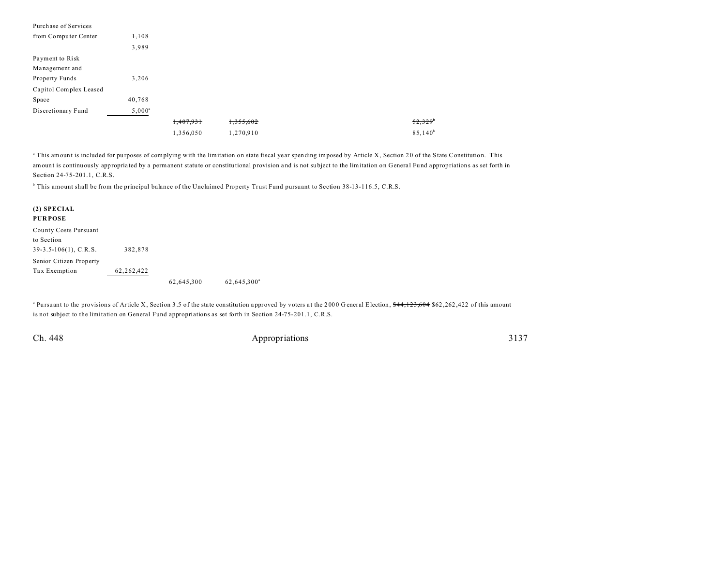| Purchase of Services   |                 |           |           |                  |
|------------------------|-----------------|-----------|-----------|------------------|
| from Computer Center   | $+,108$         |           |           |                  |
|                        | 3,989           |           |           |                  |
| Payment to Risk        |                 |           |           |                  |
| Management and         |                 |           |           |                  |
| Property Funds         | 3,206           |           |           |                  |
| Capitol Complex Leased |                 |           |           |                  |
| Space                  | 40,768          |           |           |                  |
| Discretionary Fund     | $5,000^{\rm a}$ |           |           |                  |
|                        |                 | 1,407,931 | 1,355,602 | $52,329^{\circ}$ |
|                        |                 | 1,356,050 | 1,270,910 | $85,140^{b}$     |

<sup>a</sup> This amount is included for purposes of complying with the limitation on state fiscal year spending imposed by Article X, Section 20 of the State Constitution. This amount is continuously appropria ted by a permanent statute or constitu tional provision a nd is not su bject to the limitation on General Fund appropriations as set forth in Section 24-75-201.1, C.R.S.

b This amount shall be from the principal balance of the Unclaimed Property Trust Fund pursuant to Section 38-13-116.5, C.R.S.

#### **(2) SPECIAL**

#### **PUR POSE**

County Costs Pursuant to Section 39-3.5-106(1), C.R.S. 382,878 Senior Citizen Property Tax Exemption 62,262,422

62,645,300<sup>a</sup> 62,645,300<sup>a</sup>

<sup>a</sup> Pursuant to the provisions of Article X, Section 3.5 of the state constitution approved by voters at the 2000 General Election, \$44,123,604 \$62,262,422 of this amount is not subject to the limitation on General Fund appropriations as set forth in Section 24-75-201.1, C.R.S.

Ch. 448 Appropriations 3137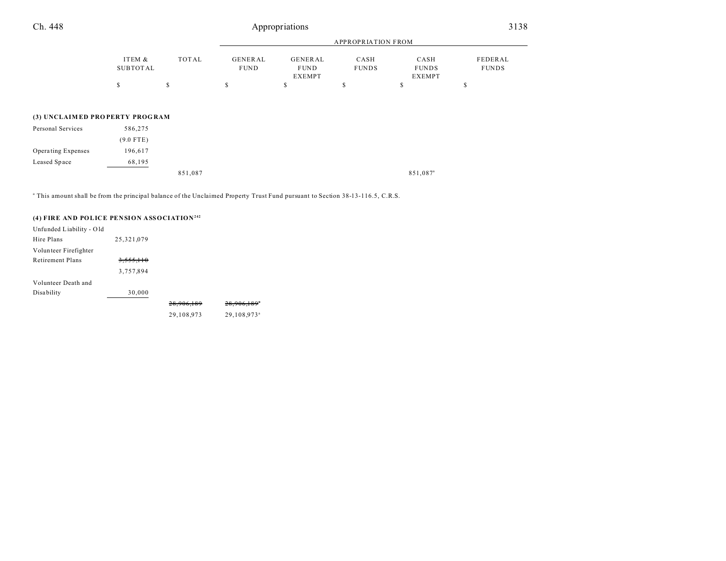| Ch. 448                        | Appropriations            |       |                        |                                         |                           |                                       | 3138                    |  |
|--------------------------------|---------------------------|-------|------------------------|-----------------------------------------|---------------------------|---------------------------------------|-------------------------|--|
|                                |                           |       |                        |                                         | <b>APPROPRIATION FROM</b> |                                       |                         |  |
|                                | ITEM &<br><b>SUBTOTAL</b> | TOTAL | GENERAL<br><b>FUND</b> | <b>GENERAL</b><br><b>FUND</b><br>EXEMPT | CASH<br><b>FUNDS</b>      | CASH<br><b>FUNDS</b><br><b>EXEMPT</b> | FEDERAL<br><b>FUNDS</b> |  |
|                                | \$                        | S     | \$                     | \$                                      | S                         | \$                                    | \$                      |  |
| (3) UNCLAIMED PROPERTY PROGRAM |                           |       |                        |                                         |                           |                                       |                         |  |
| Personal Services              | 586,275                   |       |                        |                                         |                           |                                       |                         |  |
|                                | $(9.0$ FTE)               |       |                        |                                         |                           |                                       |                         |  |
| Operating Expenses             | 196,617                   |       |                        |                                         |                           |                                       |                         |  |
| Leased Space                   | 68,195                    |       |                        |                                         |                           |                                       |                         |  |

851,087<sup>a</sup> 851,087<sup>a</sup>

a This amount shall be from the principal balance of the Unclaimed Property Trust Fund pursuant to Section 38-13-116.5, C.R.S.

### **(4) FIRE AND POLICE PENSION ASSOCIATION<sup>242</sup>**

| Unfunded Liability - Old |            |            |                           |
|--------------------------|------------|------------|---------------------------|
| Hire Plans               | 25,321,079 |            |                           |
| Volunteer Firefighter    |            |            |                           |
| Retirement Plans         | 3,555,110  |            |                           |
|                          | 3,757,894  |            |                           |
| Volunteer Death and      |            |            |                           |
| <b>Disability</b>        | 30,000     |            |                           |
|                          |            | 28,906,189 | $28,906,189$ <sup>*</sup> |
|                          |            | 29,108,973 | 29,108,973 <sup>ª</sup>   |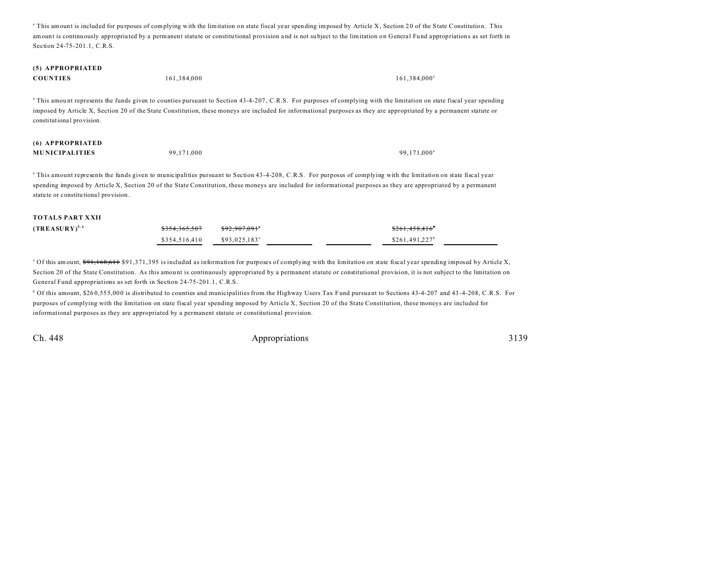<sup>a</sup> This amount is included for purposes of complying with the limitation on state fiscal year spending imposed by Article X, Section 20 of the State Constitution. This amount is continuously appropria ted by a permanent statute or constitu tional provision a nd is not su bject to the limitation on General Fund appropriations as set forth in Section 24-75-201.1, C.R.S.

# **(5) APPROPRIATED**

|  | <b>COUNTIES</b> | 161.384.000 | $161.384.000^a$ |
|--|-----------------|-------------|-----------------|
|--|-----------------|-------------|-----------------|

<sup>a</sup> This amount represents the funds given to counties pursuant to Section 43-4-207, C.R.S. For purposes of complying with the limitation on state fiscal year spending imposed by Article X, Section 20 of the State Constitution, these moneys are included for informational purposes as they are appropriated by a permanent statute or constitutional provision.

| (6) APPROPRIATED      |            |                         |
|-----------------------|------------|-------------------------|
| <b>MUNICIPALITIES</b> | 99.171.000 | 99.171.000 <sup>a</sup> |

a This amount represents the funds given to municipalities pursuant to Section 43-4-208, C.R.S. For purposes of complying with the limitation on state fiscal year spending imposed by Article X, Section 20 of the State Constitution, these moneys are included for informational purposes as they are appropriated by a permanent statu te or constitu tiona l provision.

#### **TOTALS PART XXII**

| $(TREASURY)^{5,6}$ | <del>\$354.365.507</del> | <del>\$92.907.091</del> *  | <del>\$261.458.416</del>    |
|--------------------|--------------------------|----------------------------|-----------------------------|
|                    | \$354,516,410            | $$93.025.183$ <sup>a</sup> | $$261.491.227$ <sup>b</sup> |

<sup>a</sup> Of this amount, <del>\$91,168,611</del> \$91,371,395 is included as information for purposes of complying with the limitation on state fiscal year spending imposed by Article X, Section 20 of the State Constitution. As this amount is continuously appropriated by a permanent statute or constitutional provision, it is not subject to the limitation on General Fund appropriations as set forth in Section 24-75-201.1, C.R.S.

<sup>b</sup> Of this amount, \$260,555,000 is distributed to counties and municipalities from the Highway Users Tax Fund pursuant to Sections 43-4-207 and 43-4-208, C.R.S. For purposes of complying with the limitation on state fiscal year spending imposed by Article X, Section 20 of the State Constitution, these moneys are included for informational purposes as they are appropriated by a permanent statute or constitutional provision.

Ch. 448 Appropriations 3139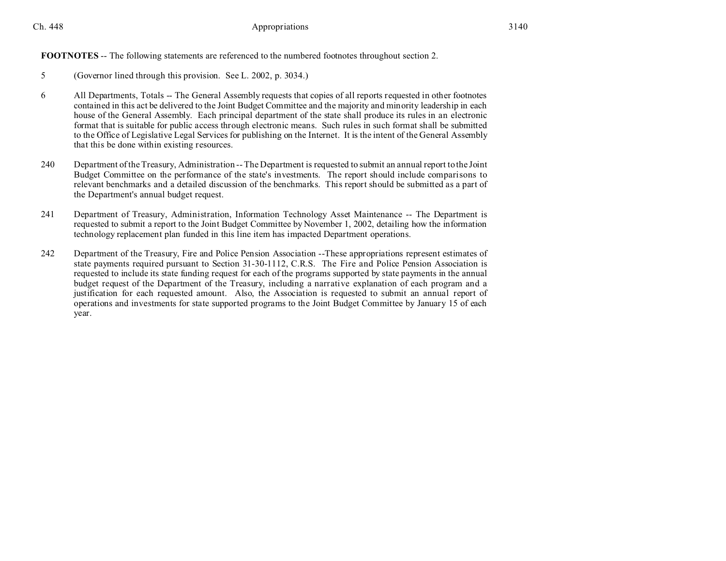Ch. 448 **Appropriations** 3140

**FOOTNOTES** -- The following statements are referenced to the numbered footnotes throughout section 2.

- 5 (Governor lined through this provision. See L. 2002, p. 3034.)
- 6 All Departments, Totals -- The General Assembly requests that copies of all reports requested in other footnotes contained in this act be delivered to the Joint Budget Committee and the majority and minority leadership in each house of the General Assembly. Each principal department of the state shall produce its rules in an electronic format that is suitable for public access through electronic means. Such rules in such format shall be submitted to the Office of Legislative Legal Services for publishing on the Internet. It is the intent of the General Assembly that this be done within existing resources.
- 240 Department of the Treasury, Administration -- The Department is requested to submit an annual report to the Joint Budget Committee on the performance of the state's investments. The report should include comparisons to relevant benchmarks and a detailed discussion of the benchmarks. This report should be submitted as a part of the Department's annual budget request.
- 241 Department of Treasury, Administration, Information Technology Asset Maintenance -- The Department is requested to submit a report to the Joint Budget Committee by November 1, 2002, detailing how the information technology replacement plan funded in this line item has impacted Department operations.
- 242 Department of the Treasury, Fire and Police Pension Association --These appropriations represent estimates of state payments required pursuant to Section 31-30-1112, C.R.S. The Fire and Police Pension Association is requested to include its state funding request for each of the programs supported by state payments in the annual budget request of the Department of the Treasury, including a narrative explanation of each program and a justification for each requested amount. Also, the Association is requested to submit an annual report of operations and investments for state supported programs to the Joint Budget Committee by January 15 of each year.